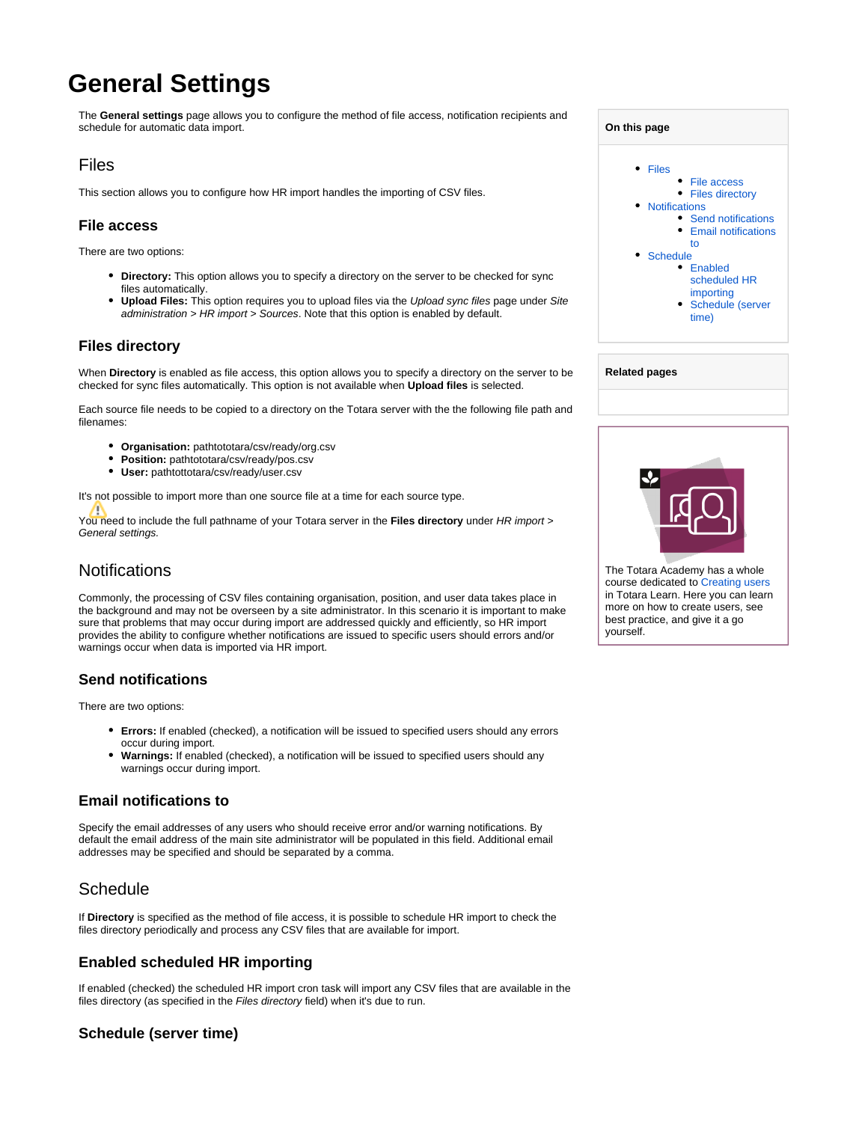# **General Settings**

The **General settings** page allows you to configure the method of file access, notification recipients and schedule for automatic data import.

## <span id="page-0-0"></span>Files

This section allows you to configure how HR import handles the importing of CSV files.

## <span id="page-0-1"></span>**File access**

There are two options:

- **Directory:** This option allows you to specify a directory on the server to be checked for sync files automatically.
- **Upload Files:** This option requires you to upload files via the Upload sync files page under Site administration > HR import > Sources. Note that this option is enabled by default.

#### <span id="page-0-2"></span>**Files directory**

When **Directory** is enabled as file access, this option allows you to specify a directory on the server to be checked for sync files automatically. This option is not available when **Upload files** is selected.

Each source file needs to be copied to a directory on the Totara server with the the following file path and filenames:

- **Organisation:** pathtototara/csv/ready/org.csv
- **Position:** pathtototara/csv/ready/pos.csv
- **User:** pathtottotara/csv/ready/user.csv

It's not possible to import more than one source file at a time for each source type.

You need to include the full pathname of your Totara server in the **Files directory** under HR import > General settings.

# <span id="page-0-3"></span>**Notifications**

Commonly, the processing of CSV files containing organisation, position, and user data takes place in the background and may not be overseen by a site administrator. In this scenario it is important to make sure that problems that may occur during import are addressed quickly and efficiently, so HR import provides the ability to configure whether notifications are issued to specific users should errors and/or warnings occur when data is imported via HR import.

#### <span id="page-0-4"></span>**Send notifications**

There are two options:

- **Errors:** If enabled (checked), a notification will be issued to specified users should any errors occur during import.
- **Warnings:** If enabled (checked), a notification will be issued to specified users should any warnings occur during import.

#### <span id="page-0-5"></span>**Email notifications to**

Specify the email addresses of any users who should receive error and/or warning notifications. By default the email address of the main site administrator will be populated in this field. Additional email addresses may be specified and should be separated by a comma.

# <span id="page-0-6"></span>**Schedule**

If **Directory** is specified as the method of file access, it is possible to schedule HR import to check the files directory periodically and process any CSV files that are available for import.

## <span id="page-0-7"></span>**Enabled scheduled HR importing**

If enabled (checked) the scheduled HR import cron task will import any CSV files that are available in the files directory (as specified in the Files directory field) when it's due to run.

## <span id="page-0-8"></span>**Schedule (server time)**

| On this page |                                                                                                                                                                                                                              |
|--------------|------------------------------------------------------------------------------------------------------------------------------------------------------------------------------------------------------------------------------|
|              | Files<br>• File access<br><b>Files directory</b><br><b>Notifications</b><br>• Send notifications<br><b>Email notifications</b><br>to<br>Schedule<br>Enabled<br>scheduled HR<br>importing<br><b>Schedule (server</b><br>time) |
|              |                                                                                                                                                                                                                              |

| The Totara Academy has a whole |
|--------------------------------|

**Related pages**

course dedicated to [Creating users](https://totara.community/course/view.php?id=140) in Totara Learn. Here you can learn more on how to create users, see best practice, and give it a go yourself.